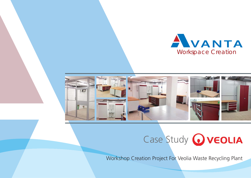





Workshop Creation Project For Veolia Waste Recycling Plant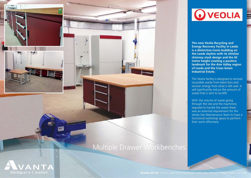

## Multiple Drawer Workbenches



**OVEOLIA** 

**The new Veolia Recycling and Energy Recovery Facility in Leeds is a distinctive iconic building on the Leeds skyline with its slimline chimney stack design and the 42 metre height creating a positive landmark for the Aire Valley region of Leeds and the Cross Green Industrial Estate.**

The Veolia facility is designed to remove recyclable waste from black bins and recover energy from what is left over. It will significantly reduce the amount of waste that is sent to landfill.

With the volume of waste going through the site and the machinery required to handle the waste there was an essential requirement for the Veolia Site Maintenance Team to have a functional workshop space to perform their work effectively.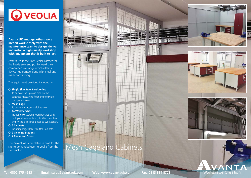## **OVEOLIA**

**Avanta UK amongst others were invited work closely with the maintenance team to design, deliver and install a high quality workshop with equipment that is built to last.**

Avanta UK is the Bott Dealer Partner for the Leeds area and put forward their comprehensive range which offers a 10 year guarantee along with steel and mesh partitioning.

The equipment provided included: –

**O Single Skin Steel Partitioning** To enclose the upstairs area on the concrete mezzanine floor and to divide the upstairs area.

**O** Mesh Cage To provide a secure welding area.

 **14 Workbenches** Including 9x Storage Workbenches with multiple drawer options, 4x Workbenches with Vices & 1x large Bespoke Workbench.

## **5 Cabinets**

Including large Roller Shutter Cabinets.

- **2 Cleaning Stations**
- **7 Chairs and Stools**

The project was completed in time for the site to be handed over to Veolia from the Contractor.





**ERS WEEGER AND** 

-------

Mesh Cage and Cabinets